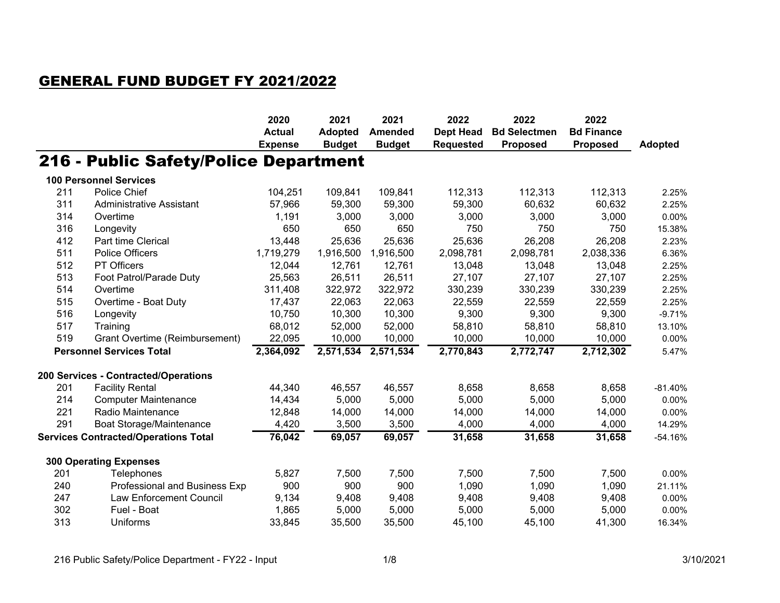## GENERAL FUND BUDGET FY 2021/2022

|                                 |                                             | 2020                            | 2021                            | 2021                            | 2022                                 | 2022                                   | 2022                                 |                |
|---------------------------------|---------------------------------------------|---------------------------------|---------------------------------|---------------------------------|--------------------------------------|----------------------------------------|--------------------------------------|----------------|
|                                 |                                             | <b>Actual</b><br><b>Expense</b> | <b>Adopted</b><br><b>Budget</b> | <b>Amended</b><br><b>Budget</b> | <b>Dept Head</b><br><b>Requested</b> | <b>Bd Selectmen</b><br><b>Proposed</b> | <b>Bd Finance</b><br><b>Proposed</b> | <b>Adopted</b> |
|                                 | 216 - Public Safety/Police Department       |                                 |                                 |                                 |                                      |                                        |                                      |                |
|                                 | <b>100 Personnel Services</b>               |                                 |                                 |                                 |                                      |                                        |                                      |                |
| 211                             | Police Chief                                | 104,251                         | 109,841                         | 109,841                         | 112,313                              | 112,313                                | 112,313                              | 2.25%          |
| 311                             | <b>Administrative Assistant</b>             | 57,966                          | 59,300                          | 59,300                          | 59,300                               | 60,632                                 | 60,632                               | 2.25%          |
| 314                             | Overtime                                    | 1,191                           | 3,000                           | 3,000                           | 3,000                                | 3,000                                  | 3,000                                | 0.00%          |
| 316                             | Longevity                                   | 650                             | 650                             | 650                             | 750                                  | 750                                    | 750                                  | 15.38%         |
| 412                             | Part time Clerical                          | 13,448                          | 25,636                          | 25,636                          | 25,636                               | 26,208                                 | 26,208                               | 2.23%          |
| 511                             | <b>Police Officers</b>                      | 1,719,279                       | 1,916,500                       | 1,916,500                       | 2,098,781                            | 2,098,781                              | 2,038,336                            | 6.36%          |
| 512                             | PT Officers                                 | 12,044                          | 12,761                          | 12,761                          | 13,048                               | 13,048                                 | 13,048                               | 2.25%          |
| 513                             | Foot Patrol/Parade Duty                     | 25,563                          | 26,511                          | 26,511                          | 27,107                               | 27,107                                 | 27,107                               | 2.25%          |
| 514                             | Overtime                                    | 311,408                         | 322,972                         | 322,972                         | 330,239                              | 330,239                                | 330,239                              | 2.25%          |
| 515                             | Overtime - Boat Duty                        | 17,437                          | 22,063                          | 22,063                          | 22,559                               | 22,559                                 | 22,559                               | 2.25%          |
| 516                             | Longevity                                   | 10,750                          | 10,300                          | 10,300                          | 9,300                                | 9,300                                  | 9,300                                | $-9.71%$       |
| 517                             | Training                                    | 68,012                          | 52,000                          | 52,000                          | 58,810                               | 58,810                                 | 58,810                               | 13.10%         |
| 519                             | Grant Overtime (Reimbursement)              | 22,095                          | 10,000                          | 10,000                          | 10,000                               | 10,000                                 | 10,000                               | 0.00%          |
| <b>Personnel Services Total</b> |                                             | 2,364,092                       | 2,571,534                       | 2,571,534                       | 2,770,843                            | 2,772,747                              | 2,712,302                            | 5.47%          |
|                                 | 200 Services - Contracted/Operations        |                                 |                                 |                                 |                                      |                                        |                                      |                |
| 201                             | <b>Facility Rental</b>                      | 44,340                          | 46,557                          | 46,557                          | 8,658                                | 8,658                                  | 8,658                                | $-81.40%$      |
| 214                             | <b>Computer Maintenance</b>                 | 14,434                          | 5,000                           | 5,000                           | 5,000                                | 5,000                                  | 5,000                                | 0.00%          |
| 221                             | Radio Maintenance                           | 12,848                          | 14,000                          | 14,000                          | 14,000                               | 14,000                                 | 14,000                               | 0.00%          |
| 291                             | Boat Storage/Maintenance                    | 4,420                           | 3,500                           | 3,500                           | 4,000                                | 4,000                                  | 4,000                                | 14.29%         |
|                                 | <b>Services Contracted/Operations Total</b> | 76,042                          | 69,057                          | 69,057                          | 31,658                               | 31,658                                 | 31,658                               | $-54.16%$      |
|                                 | <b>300 Operating Expenses</b>               |                                 |                                 |                                 |                                      |                                        |                                      |                |
| 201                             | Telephones                                  | 5,827                           | 7,500                           | 7,500                           | 7,500                                | 7,500                                  | 7,500                                | 0.00%          |
| 240                             | Professional and Business Exp               | 900                             | 900                             | 900                             | 1,090                                | 1,090                                  | 1,090                                | 21.11%         |
| 247                             | <b>Law Enforcement Council</b>              | 9,134                           | 9,408                           | 9,408                           | 9,408                                | 9,408                                  | 9,408                                | 0.00%          |
| 302                             | Fuel - Boat                                 | 1,865                           | 5,000                           | 5,000                           | 5,000                                | 5,000                                  | 5,000                                | 0.00%          |
| 313                             | Uniforms                                    | 33,845                          | 35,500                          | 35,500                          | 45,100                               | 45,100                                 | 41,300                               | 16.34%         |
|                                 |                                             |                                 |                                 |                                 |                                      |                                        |                                      |                |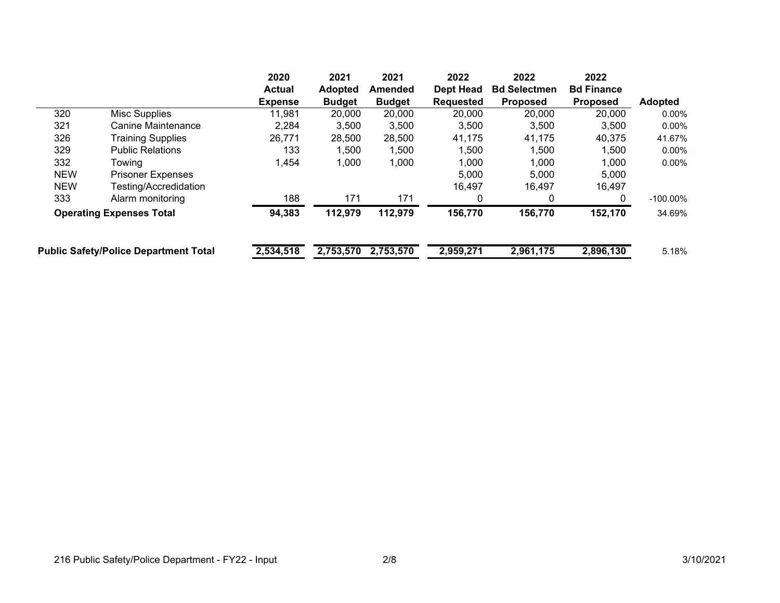|                                 | 2020                                         | 2021                | 2021           | 2022             | 2022                | 2022              |                |
|---------------------------------|----------------------------------------------|---------------------|----------------|------------------|---------------------|-------------------|----------------|
|                                 | <b>Actual</b>                                | <b>Adopted</b>      | <b>Amended</b> | <b>Dept Head</b> | <b>Bd Selectmen</b> | <b>Bd Finance</b> |                |
|                                 | <b>Expense</b>                               | <b>Budget</b>       | <b>Budget</b>  | Requested        | <b>Proposed</b>     | <b>Proposed</b>   | <b>Adopted</b> |
| Misc Supplies                   | 11,981                                       | 20,000              | 20,000         | 20,000           | 20,000              | 20,000            | $0.00\%$       |
| Canine Maintenance              | 2,284                                        | 3,500               | 3,500          | 3,500            | 3,500               | 3,500             | $0.00\%$       |
| <b>Training Supplies</b>        | 26,771                                       | 28,500              | 28,500         | 41,175           | 41,175              | 40,375            | 41.67%         |
| <b>Public Relations</b>         | 133                                          | 1,500               | 1,500          | 1,500            | 1,500               | 1,500             | 0.00%          |
| Towing                          | 1,454                                        | 1,000               | 1,000          | 1,000            | 1,000               | 1,000             | $0.00\%$       |
| <b>Prisoner Expenses</b>        |                                              |                     |                | 5,000            | 5,000               | 5,000             |                |
| Testing/Accredidation           |                                              |                     |                | 16,497           | 16,497              | 16,497            |                |
| Alarm monitoring                | 188                                          | 171                 | 171            | 0                | 0                   | 0                 | $-100.00\%$    |
| <b>Operating Expenses Total</b> |                                              | 112,979             | 112,979        | 156,770          | 156,770             | 152,170           | 34.69%         |
|                                 |                                              |                     |                |                  |                     |                   | 5.18%          |
|                                 | <b>Public Safety/Police Department Total</b> | 94,383<br>2,534,518 | 2,753,570      | 2,753,570        | 2,959,271           | 2,961,175         | 2,896,130      |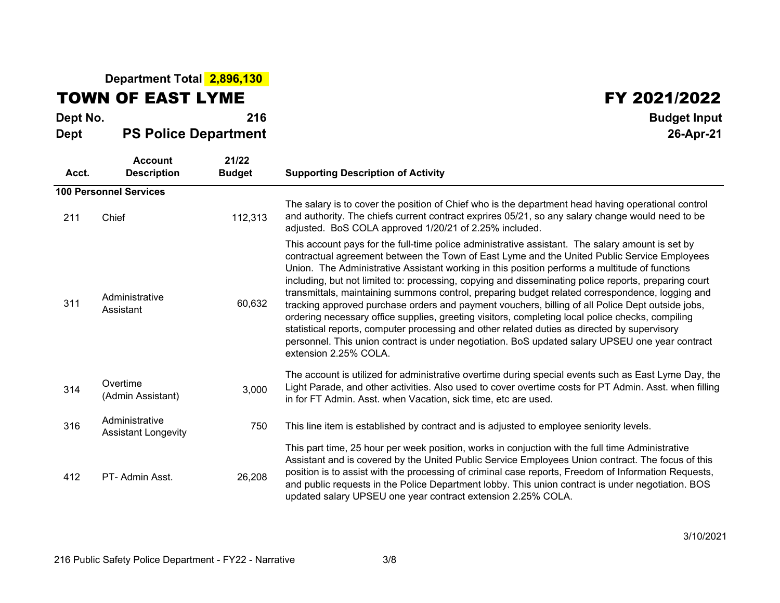## **Department Total 2,896,130**

TOWN OF EAST LYME

## FY 2021/2022

| Dept No.<br><b>Dept</b> | <b>PS Police Department</b>                  | 216                    | <b>Budget Input</b><br>26-Apr-21                                                                                                                                                                                                                                                                                                                                                                                                                                                                                                                                                                                                                                                                                                                                                                                                                                                                                                                 |
|-------------------------|----------------------------------------------|------------------------|--------------------------------------------------------------------------------------------------------------------------------------------------------------------------------------------------------------------------------------------------------------------------------------------------------------------------------------------------------------------------------------------------------------------------------------------------------------------------------------------------------------------------------------------------------------------------------------------------------------------------------------------------------------------------------------------------------------------------------------------------------------------------------------------------------------------------------------------------------------------------------------------------------------------------------------------------|
| Acct.                   | <b>Account</b><br><b>Description</b>         | 21/22<br><b>Budget</b> | <b>Supporting Description of Activity</b>                                                                                                                                                                                                                                                                                                                                                                                                                                                                                                                                                                                                                                                                                                                                                                                                                                                                                                        |
|                         | <b>100 Personnel Services</b>                |                        |                                                                                                                                                                                                                                                                                                                                                                                                                                                                                                                                                                                                                                                                                                                                                                                                                                                                                                                                                  |
| 211                     | Chief                                        | 112,313                | The salary is to cover the position of Chief who is the department head having operational control<br>and authority. The chiefs current contract exprires 05/21, so any salary change would need to be<br>adjusted. BoS COLA approved 1/20/21 of 2.25% included.                                                                                                                                                                                                                                                                                                                                                                                                                                                                                                                                                                                                                                                                                 |
| 311                     | Administrative<br>Assistant                  | 60,632                 | This account pays for the full-time police administrative assistant. The salary amount is set by<br>contractual agreement between the Town of East Lyme and the United Public Service Employees<br>Union. The Administrative Assistant working in this position performs a multitude of functions<br>including, but not limited to: processing, copying and disseminating police reports, preparing court<br>transmittals, maintaining summons control, preparing budget related correspondence, logging and<br>tracking approved purchase orders and payment vouchers, billing of all Police Dept outside jobs,<br>ordering necessary office supplies, greeting visitors, completing local police checks, compiling<br>statistical reports, computer processing and other related duties as directed by supervisory<br>personnel. This union contract is under negotiation. BoS updated salary UPSEU one year contract<br>extension 2.25% COLA. |
| 314                     | Overtime<br>(Admin Assistant)                | 3,000                  | The account is utilized for administrative overtime during special events such as East Lyme Day, the<br>Light Parade, and other activities. Also used to cover overtime costs for PT Admin. Asst. when filling<br>in for FT Admin. Asst. when Vacation, sick time, etc are used.                                                                                                                                                                                                                                                                                                                                                                                                                                                                                                                                                                                                                                                                 |
| 316                     | Administrative<br><b>Assistant Longevity</b> | 750                    | This line item is established by contract and is adjusted to employee seniority levels.                                                                                                                                                                                                                                                                                                                                                                                                                                                                                                                                                                                                                                                                                                                                                                                                                                                          |
| 412                     | PT- Admin Asst.                              | 26,208                 | This part time, 25 hour per week position, works in conjuction with the full time Administrative<br>Assistant and is covered by the United Public Service Employees Union contract. The focus of this<br>position is to assist with the processing of criminal case reports, Freedom of Information Requests,<br>and public requests in the Police Department lobby. This union contract is under negotiation. BOS<br>updated salary UPSEU one year contract extension 2.25% COLA.                                                                                                                                                                                                                                                                                                                                                                                                                                                               |

3/10/2021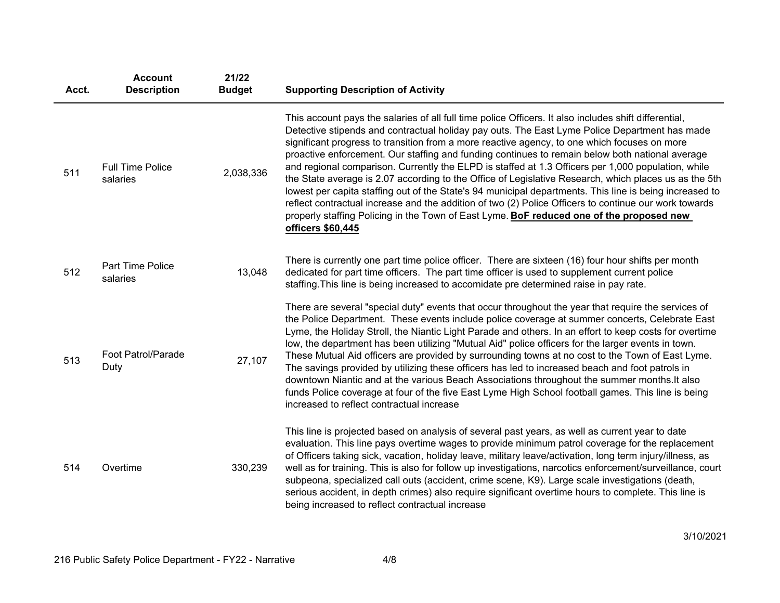| Acct. | <b>Account</b><br><b>Description</b> | 21/22<br><b>Budget</b> | <b>Supporting Description of Activity</b>                                                                                                                                                                                                                                                                                                                                                                                                                                                                                                                                                                                                                                                                                                                                                                                                                                                                                                                     |
|-------|--------------------------------------|------------------------|---------------------------------------------------------------------------------------------------------------------------------------------------------------------------------------------------------------------------------------------------------------------------------------------------------------------------------------------------------------------------------------------------------------------------------------------------------------------------------------------------------------------------------------------------------------------------------------------------------------------------------------------------------------------------------------------------------------------------------------------------------------------------------------------------------------------------------------------------------------------------------------------------------------------------------------------------------------|
| 511   | <b>Full Time Police</b><br>salaries  | 2,038,336              | This account pays the salaries of all full time police Officers. It also includes shift differential,<br>Detective stipends and contractual holiday pay outs. The East Lyme Police Department has made<br>significant progress to transition from a more reactive agency, to one which focuses on more<br>proactive enforcement. Our staffing and funding continues to remain below both national average<br>and regional comparison. Currently the ELPD is staffed at 1.3 Officers per 1,000 population, while<br>the State average is 2.07 according to the Office of Legislative Research, which places us as the 5th<br>lowest per capita staffing out of the State's 94 municipal departments. This line is being increased to<br>reflect contractual increase and the addition of two (2) Police Officers to continue our work towards<br>properly staffing Policing in the Town of East Lyme. BoF reduced one of the proposed new<br>officers \$60,445 |
| 512   | Part Time Police<br>salaries         | 13,048                 | There is currently one part time police officer. There are sixteen (16) four hour shifts per month<br>dedicated for part time officers. The part time officer is used to supplement current police<br>staffing. This line is being increased to accomidate pre determined raise in pay rate.                                                                                                                                                                                                                                                                                                                                                                                                                                                                                                                                                                                                                                                                  |
| 513   | Foot Patrol/Parade<br>Duty           | 27,107                 | There are several "special duty" events that occur throughout the year that require the services of<br>the Police Department. These events include police coverage at summer concerts, Celebrate East<br>Lyme, the Holiday Stroll, the Niantic Light Parade and others. In an effort to keep costs for overtime<br>low, the department has been utilizing "Mutual Aid" police officers for the larger events in town.<br>These Mutual Aid officers are provided by surrounding towns at no cost to the Town of East Lyme.<br>The savings provided by utilizing these officers has led to increased beach and foot patrols in<br>downtown Niantic and at the various Beach Associations throughout the summer months. It also<br>funds Police coverage at four of the five East Lyme High School football games. This line is being<br>increased to reflect contractual increase                                                                               |
| 514   | Overtime                             | 330,239                | This line is projected based on analysis of several past years, as well as current year to date<br>evaluation. This line pays overtime wages to provide minimum patrol coverage for the replacement<br>of Officers taking sick, vacation, holiday leave, military leave/activation, long term injury/illness, as<br>well as for training. This is also for follow up investigations, narcotics enforcement/surveillance, court<br>subpeona, specialized call outs (accident, crime scene, K9). Large scale investigations (death,<br>serious accident, in depth crimes) also require significant overtime hours to complete. This line is<br>being increased to reflect contractual increase                                                                                                                                                                                                                                                                  |

3/10/2021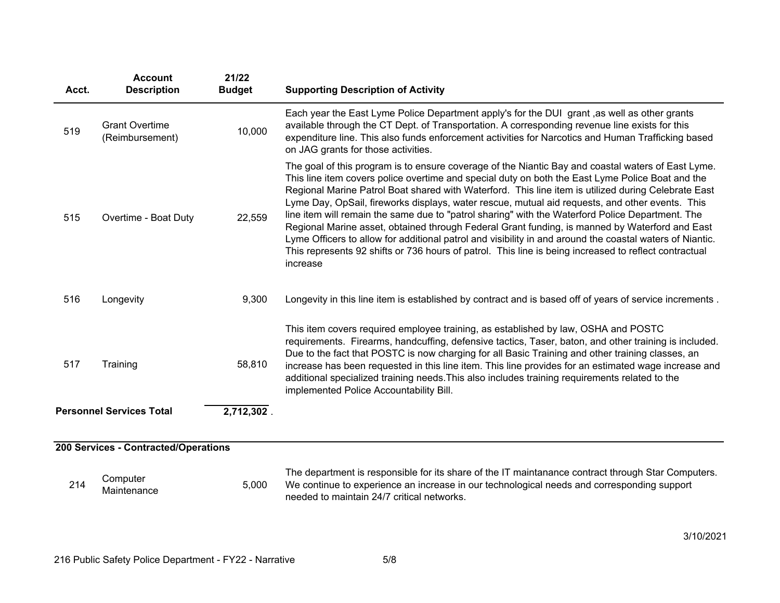| Acct. | <b>Account</b><br><b>Description</b>     | 21/22<br><b>Budget</b> | <b>Supporting Description of Activity</b>                                                                                                                                                                                                                                                                                                                                                                                                                                                                                                                                                                                                                                                                                                                                                                                                               |
|-------|------------------------------------------|------------------------|---------------------------------------------------------------------------------------------------------------------------------------------------------------------------------------------------------------------------------------------------------------------------------------------------------------------------------------------------------------------------------------------------------------------------------------------------------------------------------------------------------------------------------------------------------------------------------------------------------------------------------------------------------------------------------------------------------------------------------------------------------------------------------------------------------------------------------------------------------|
| 519   | <b>Grant Overtime</b><br>(Reimbursement) | 10,000                 | Each year the East Lyme Police Department apply's for the DUI grant, as well as other grants<br>available through the CT Dept. of Transportation. A corresponding revenue line exists for this<br>expenditure line. This also funds enforcement activities for Narcotics and Human Trafficking based<br>on JAG grants for those activities.                                                                                                                                                                                                                                                                                                                                                                                                                                                                                                             |
| 515   | Overtime - Boat Duty                     | 22,559                 | The goal of this program is to ensure coverage of the Niantic Bay and coastal waters of East Lyme.<br>This line item covers police overtime and special duty on both the East Lyme Police Boat and the<br>Regional Marine Patrol Boat shared with Waterford. This line item is utilized during Celebrate East<br>Lyme Day, OpSail, fireworks displays, water rescue, mutual aid requests, and other events. This<br>line item will remain the same due to "patrol sharing" with the Waterford Police Department. The<br>Regional Marine asset, obtained through Federal Grant funding, is manned by Waterford and East<br>Lyme Officers to allow for additional patrol and visibility in and around the coastal waters of Niantic.<br>This represents 92 shifts or 736 hours of patrol. This line is being increased to reflect contractual<br>increase |
| 516   | Longevity                                | 9,300                  | Longevity in this line item is established by contract and is based off of years of service increments.                                                                                                                                                                                                                                                                                                                                                                                                                                                                                                                                                                                                                                                                                                                                                 |
| 517   | Training                                 | 58,810                 | This item covers required employee training, as established by law, OSHA and POSTC<br>requirements. Firearms, handcuffing, defensive tactics, Taser, baton, and other training is included.<br>Due to the fact that POSTC is now charging for all Basic Training and other training classes, an<br>increase has been requested in this line item. This line provides for an estimated wage increase and<br>additional specialized training needs. This also includes training requirements related to the<br>implemented Police Accountability Bill.                                                                                                                                                                                                                                                                                                    |
|       | <b>Personnel Services Total</b>          | 2,712,302.             |                                                                                                                                                                                                                                                                                                                                                                                                                                                                                                                                                                                                                                                                                                                                                                                                                                                         |
|       | 200 Services - Contracted/Operations     |                        |                                                                                                                                                                                                                                                                                                                                                                                                                                                                                                                                                                                                                                                                                                                                                                                                                                                         |
| 214   | Computer<br>Maintenance                  | 5,000                  | The department is responsible for its share of the IT maintanance contract through Star Computers.<br>We continue to experience an increase in our technological needs and corresponding support<br>needed to maintain 24/7 critical networks.                                                                                                                                                                                                                                                                                                                                                                                                                                                                                                                                                                                                          |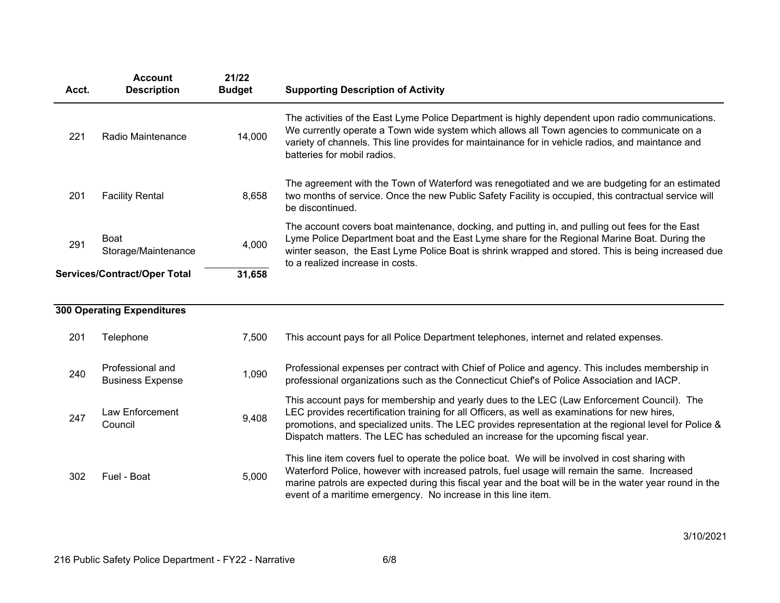| Acct. | <b>Account</b><br><b>Description</b> | 21/22<br><b>Budget</b> | <b>Supporting Description of Activity</b>                                                                                                                                                                                                                                                                                                 |
|-------|--------------------------------------|------------------------|-------------------------------------------------------------------------------------------------------------------------------------------------------------------------------------------------------------------------------------------------------------------------------------------------------------------------------------------|
| 221   | Radio Maintenance                    | 14,000                 | The activities of the East Lyme Police Department is highly dependent upon radio communications.<br>We currently operate a Town wide system which allows all Town agencies to communicate on a<br>variety of channels. This line provides for maintainance for in vehicle radios, and maintance and<br>batteries for mobil radios.        |
| 201   | <b>Facility Rental</b>               | 8,658                  | The agreement with the Town of Waterford was renegotiated and we are budgeting for an estimated<br>two months of service. Once the new Public Safety Facility is occupied, this contractual service will<br>be discontinued.                                                                                                              |
| 291   | Boat<br>Storage/Maintenance          | 4,000                  | The account covers boat maintenance, docking, and putting in, and pulling out fees for the East<br>Lyme Police Department boat and the East Lyme share for the Regional Marine Boat. During the<br>winter season, the East Lyme Police Boat is shrink wrapped and stored. This is being increased due<br>to a realized increase in costs. |
|       | <b>Services/Contract/Oper Total</b>  | 31,658                 |                                                                                                                                                                                                                                                                                                                                           |

|     | <b>300 Operating Expenditures</b>           |       |                                                                                                                                                                                                                                                                                                                                                                                            |
|-----|---------------------------------------------|-------|--------------------------------------------------------------------------------------------------------------------------------------------------------------------------------------------------------------------------------------------------------------------------------------------------------------------------------------------------------------------------------------------|
| 201 | Telephone                                   | 7.500 | This account pays for all Police Department telephones, internet and related expenses.                                                                                                                                                                                                                                                                                                     |
| 240 | Professional and<br><b>Business Expense</b> | 1,090 | Professional expenses per contract with Chief of Police and agency. This includes membership in<br>professional organizations such as the Connecticut Chief's of Police Association and IACP.                                                                                                                                                                                              |
| 247 | Law Enforcement<br>Council                  | 9,408 | This account pays for membership and yearly dues to the LEC (Law Enforcement Council). The<br>LEC provides recertification training for all Officers, as well as examinations for new hires,<br>promotions, and specialized units. The LEC provides representation at the regional level for Police &<br>Dispatch matters. The LEC has scheduled an increase for the upcoming fiscal year. |
| 302 | Fuel - Boat                                 | 5,000 | This line item covers fuel to operate the police boat. We will be involved in cost sharing with<br>Waterford Police, however with increased patrols, fuel usage will remain the same. Increased<br>marine patrols are expected during this fiscal year and the boat will be in the water year round in the<br>event of a maritime emergency. No increase in this line item.                |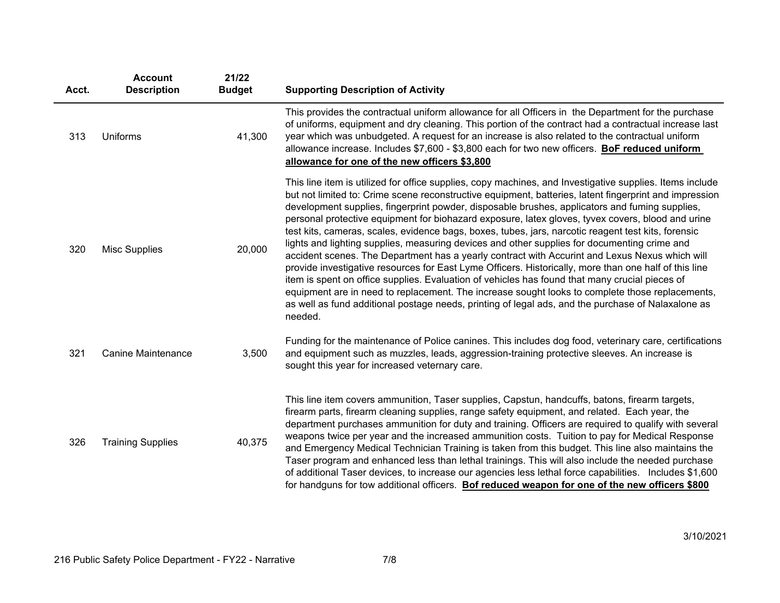| Acct. | <b>Account</b><br><b>Description</b> | 21/22<br><b>Budget</b> | <b>Supporting Description of Activity</b>                                                                                                                                                                                                                                                                                                                                                                                                                                                                                                                                                                                                                                                                                                                                                                                                                                                                                                                                                                                                                                                                                                                         |
|-------|--------------------------------------|------------------------|-------------------------------------------------------------------------------------------------------------------------------------------------------------------------------------------------------------------------------------------------------------------------------------------------------------------------------------------------------------------------------------------------------------------------------------------------------------------------------------------------------------------------------------------------------------------------------------------------------------------------------------------------------------------------------------------------------------------------------------------------------------------------------------------------------------------------------------------------------------------------------------------------------------------------------------------------------------------------------------------------------------------------------------------------------------------------------------------------------------------------------------------------------------------|
| 313   | Uniforms                             | 41,300                 | This provides the contractual uniform allowance for all Officers in the Department for the purchase<br>of uniforms, equipment and dry cleaning. This portion of the contract had a contractual increase last<br>year which was unbudgeted. A request for an increase is also related to the contractual uniform<br>allowance increase. Includes \$7,600 - \$3,800 each for two new officers. BoF reduced uniform<br>allowance for one of the new officers \$3,800                                                                                                                                                                                                                                                                                                                                                                                                                                                                                                                                                                                                                                                                                                 |
| 320   | <b>Misc Supplies</b>                 | 20,000                 | This line item is utilized for office supplies, copy machines, and Investigative supplies. Items include<br>but not limited to: Crime scene reconstructive equipment, batteries, latent fingerprint and impression<br>development supplies, fingerprint powder, disposable brushes, applicators and fuming supplies,<br>personal protective equipment for biohazard exposure, latex gloves, tyvex covers, blood and urine<br>test kits, cameras, scales, evidence bags, boxes, tubes, jars, narcotic reagent test kits, forensic<br>lights and lighting supplies, measuring devices and other supplies for documenting crime and<br>accident scenes. The Department has a yearly contract with Accurint and Lexus Nexus which will<br>provide investigative resources for East Lyme Officers. Historically, more than one half of this line<br>item is spent on office supplies. Evaluation of vehicles has found that many crucial pieces of<br>equipment are in need to replacement. The increase sought looks to complete those replacements,<br>as well as fund additional postage needs, printing of legal ads, and the purchase of Nalaxalone as<br>needed. |
| 321   | <b>Canine Maintenance</b>            | 3,500                  | Funding for the maintenance of Police canines. This includes dog food, veterinary care, certifications<br>and equipment such as muzzles, leads, aggression-training protective sleeves. An increase is<br>sought this year for increased veternary care.                                                                                                                                                                                                                                                                                                                                                                                                                                                                                                                                                                                                                                                                                                                                                                                                                                                                                                          |
| 326   | <b>Training Supplies</b>             | 40,375                 | This line item covers ammunition, Taser supplies, Capstun, handcuffs, batons, firearm targets,<br>firearm parts, firearm cleaning supplies, range safety equipment, and related. Each year, the<br>department purchases ammunition for duty and training. Officers are required to qualify with several<br>weapons twice per year and the increased ammunition costs. Tuition to pay for Medical Response<br>and Emergency Medical Technician Training is taken from this budget. This line also maintains the<br>Taser program and enhanced less than lethal trainings. This will also include the needed purchase<br>of additional Taser devices, to increase our agencies less lethal force capabilities. Includes \$1,600<br>for handguns for tow additional officers. Bof reduced weapon for one of the new officers \$800                                                                                                                                                                                                                                                                                                                                   |